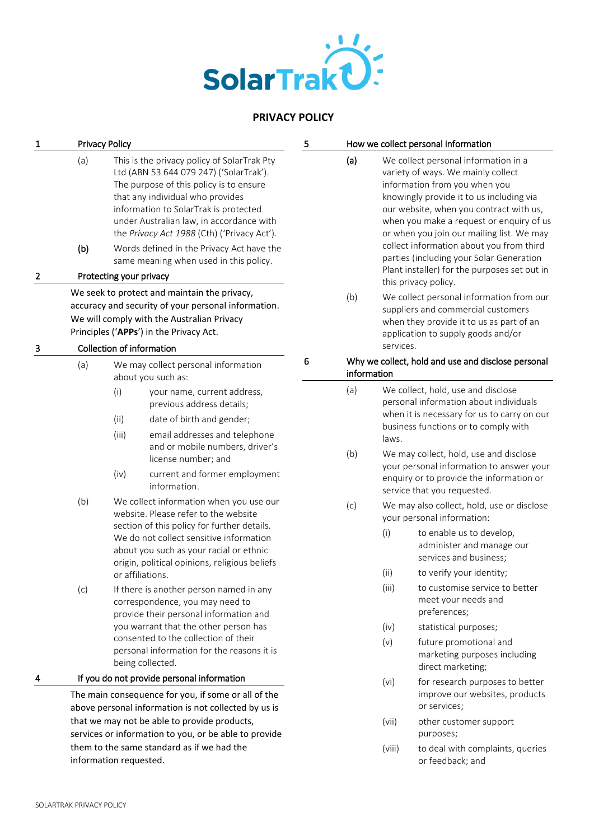

# **PRIVACY POLICY**

| 1 | <b>Privacy Policy</b>                                                                                                                                                                        |                                                                                                                                                                                                                                                                                                                                                                                                                             |                                                                                                                                                                                                                                                                                                                                                                                                                                                                                                                                                      | 5 | How we collect personal information                                            |                                                                                                                                                                                                                                                                                                                                                                                                                                                                                                                                                         |                                                                                                                                                                                                                                                                                              |
|---|----------------------------------------------------------------------------------------------------------------------------------------------------------------------------------------------|-----------------------------------------------------------------------------------------------------------------------------------------------------------------------------------------------------------------------------------------------------------------------------------------------------------------------------------------------------------------------------------------------------------------------------|------------------------------------------------------------------------------------------------------------------------------------------------------------------------------------------------------------------------------------------------------------------------------------------------------------------------------------------------------------------------------------------------------------------------------------------------------------------------------------------------------------------------------------------------------|---|--------------------------------------------------------------------------------|---------------------------------------------------------------------------------------------------------------------------------------------------------------------------------------------------------------------------------------------------------------------------------------------------------------------------------------------------------------------------------------------------------------------------------------------------------------------------------------------------------------------------------------------------------|----------------------------------------------------------------------------------------------------------------------------------------------------------------------------------------------------------------------------------------------------------------------------------------------|
| 2 | (a)<br>(b)                                                                                                                                                                                   | This is the privacy policy of SolarTrak Pty<br>Ltd (ABN 53 644 079 247) ('SolarTrak').<br>The purpose of this policy is to ensure<br>that any individual who provides<br>information to SolarTrak is protected<br>under Australian law, in accordance with<br>the Privacy Act 1988 (Cth) ('Privacy Act').<br>Words defined in the Privacy Act have the<br>same meaning when used in this policy.<br>Protecting your privacy |                                                                                                                                                                                                                                                                                                                                                                                                                                                                                                                                                      |   | (a)                                                                            | We collect personal information in a<br>variety of ways. We mainly collect<br>information from you when you<br>knowingly provide it to us including via<br>our website, when you contract with us,<br>when you make a request or enquiry of us<br>or when you join our mailing list. We may<br>collect information about you from third<br>parties (including your Solar Generation<br>Plant installer) for the purposes set out in<br>this privacy policy.                                                                                             |                                                                                                                                                                                                                                                                                              |
|   | We seek to protect and maintain the privacy,<br>accuracy and security of your personal information.<br>We will comply with the Australian Privacy<br>Principles ('APPs') in the Privacy Act. |                                                                                                                                                                                                                                                                                                                                                                                                                             |                                                                                                                                                                                                                                                                                                                                                                                                                                                                                                                                                      |   | (b)                                                                            |                                                                                                                                                                                                                                                                                                                                                                                                                                                                                                                                                         | We collect personal information from our<br>suppliers and commercial customers<br>when they provide it to us as part of an<br>application to supply goods and/or                                                                                                                             |
| з | Collection of information<br>(a)<br>We may collect personal information                                                                                                                      |                                                                                                                                                                                                                                                                                                                                                                                                                             |                                                                                                                                                                                                                                                                                                                                                                                                                                                                                                                                                      | 6 | services.<br>Why we collect, hold and use and disclose personal<br>information |                                                                                                                                                                                                                                                                                                                                                                                                                                                                                                                                                         |                                                                                                                                                                                                                                                                                              |
|   | (b)                                                                                                                                                                                          | (i)<br>(ii)<br>(iii)<br>(iv)                                                                                                                                                                                                                                                                                                                                                                                                | about you such as:<br>your name, current address,<br>previous address details;<br>date of birth and gender;<br>email addresses and telephone<br>and or mobile numbers, driver's<br>license number; and<br>current and former employment<br>information.<br>We collect information when you use our<br>website. Please refer to the website<br>section of this policy for further details.<br>We do not collect sensitive information<br>about you such as your racial or ethnic<br>origin, political opinions, religious beliefs<br>or affiliations. |   | (a)<br>(b)<br>(c)                                                              | We collect, hold, use and disclose<br>personal information about individuals<br>when it is necessary for us to carry on our<br>business functions or to comply with<br>laws.<br>We may collect, hold, use and disclose<br>your personal information to answer your<br>enquiry or to provide the information or<br>service that you requested.<br>We may also collect, hold, use or disclose<br>your personal information:<br>(i)<br>to enable us to develop,<br>administer and manage our<br>services and business;<br>to verify your identity;<br>(ii) |                                                                                                                                                                                                                                                                                              |
| 4 | (c)                                                                                                                                                                                          |                                                                                                                                                                                                                                                                                                                                                                                                                             | If there is another person named in any<br>correspondence, you may need to<br>provide their personal information and<br>you warrant that the other person has<br>consented to the collection of their<br>personal information for the reasons it is<br>being collected.<br>If you do not provide personal information<br>The main consequence for you, if some or all of the<br>above personal information is not collected by us is<br>that we may not be able to provide products,                                                                 |   |                                                                                | (iii)<br>(iv)<br>(v)<br>(vi)<br>(vii)                                                                                                                                                                                                                                                                                                                                                                                                                                                                                                                   | to customise service to better<br>meet your needs and<br>preferences;<br>statistical purposes;<br>future promotional and<br>marketing purposes including<br>direct marketing;<br>for research purposes to better<br>improve our websites, products<br>or services;<br>other customer support |
|   | services or information to you, or be able to provide<br>them to the same standard as if we had the<br>information requested.                                                                |                                                                                                                                                                                                                                                                                                                                                                                                                             |                                                                                                                                                                                                                                                                                                                                                                                                                                                                                                                                                      |   |                                                                                | (viii)                                                                                                                                                                                                                                                                                                                                                                                                                                                                                                                                                  | purposes;<br>to deal with complaints, queries<br>or feedback; and                                                                                                                                                                                                                            |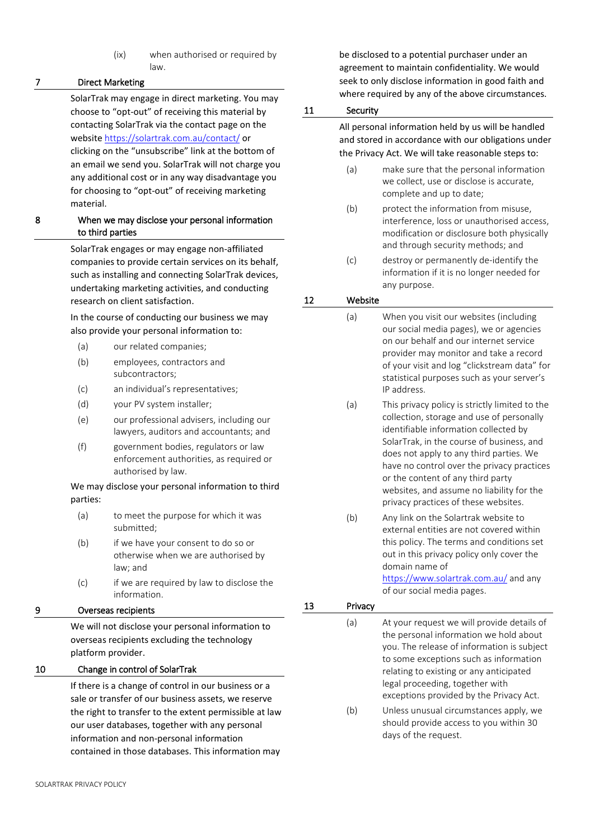(ix) when authorised or required by law.

# 7 Direct Marketing

SolarTrak may engage in direct marketing. You may choose to "opt-out" of receiving this material by contacting SolarTrak via the contact page on the website <https://solartrak.com.au/contact/> or clicking on the "unsubscribe" link at the bottom of an email we send you. SolarTrak will not charge you any additional cost or in any way disadvantage you for choosing to "opt-out" of receiving marketing material.

### 8 When we may disclose your personal information to third parties

SolarTrak engages or may engage non-affiliated companies to provide certain services on its behalf, such as installing and connecting SolarTrak devices, undertaking marketing activities, and conducting research on client satisfaction.

In the course of conducting our business we may also provide your personal information to:

- (a) our related companies;
- (b) employees, contractors and subcontractors;
- (c) an individual's representatives;
- (d) your PV system installer;
- (e) our professional advisers, including our lawyers, auditors and accountants; and
- (f) government bodies, regulators or law enforcement authorities, as required or authorised by law.

### We may disclose your personal information to third parties:

- (a) to meet the purpose for which it was submitted;
- (b) if we have your consent to do so or otherwise when we are authorised by law; and
- (c) if we are required by law to disclose the information.

# 9 Overseas recipients

We will not disclose your personal information to overseas recipients excluding the technology platform provider.

# 10 Change in control of SolarTrak

If there is a change of control in our business or a sale or transfer of our business assets, we reserve the right to transfer to the extent permissible at law our user databases, together with any personal information and non-personal information contained in those databases. This information may

be disclosed to a potential purchaser under an agreement to maintain confidentiality. We would seek to only disclose information in good faith and where required by any of the above circumstances.

# 11 Security

All personal information held by us will be handled and stored in accordance with our obligations under the Privacy Act. We will take reasonable steps to:

- (a) make sure that the personal information we collect, use or disclose is accurate, complete and up to date;
- (b) protect the information from misuse, interference, loss or unauthorised access, modification or disclosure both physically and through security methods; and
- (c) destroy or permanently de-identify the information if it is no longer needed for any purpose.

# 12 Website

- (a) When you visit our websites (including our social media pages), we or agencies on our behalf and our internet service provider may monitor and take a record of your visit and log "clickstream data" for statistical purposes such as your server's IP address.
	- (a) This privacy policy is strictly limited to the collection, storage and use of personally identifiable information collected by SolarTrak, in the course of business, and does not apply to any third parties. We have no control over the privacy practices or the content of any third party websites, and assume no liability for the privacy practices of these websites.
	- (b) Any link on the Solartrak website to external entities are not covered within this policy. The terms and conditions set out in this privacy policy only cover the domain name of

<https://www.solartrak.com.au/> and any of our social media pages.

| 13 | Privacy |                                                                                                                                                                                                                                                                                                       |
|----|---------|-------------------------------------------------------------------------------------------------------------------------------------------------------------------------------------------------------------------------------------------------------------------------------------------------------|
|    | (a)     | At your request we will provide details of<br>the personal information we hold about<br>you. The release of information is subject<br>to some exceptions such as information<br>relating to existing or any anticipated<br>legal proceeding, together with<br>exceptions provided by the Privacy Act. |
|    | (b)     | Unless unusual circumstances apply, we<br>should provide access to you within 30                                                                                                                                                                                                                      |

days of the request.